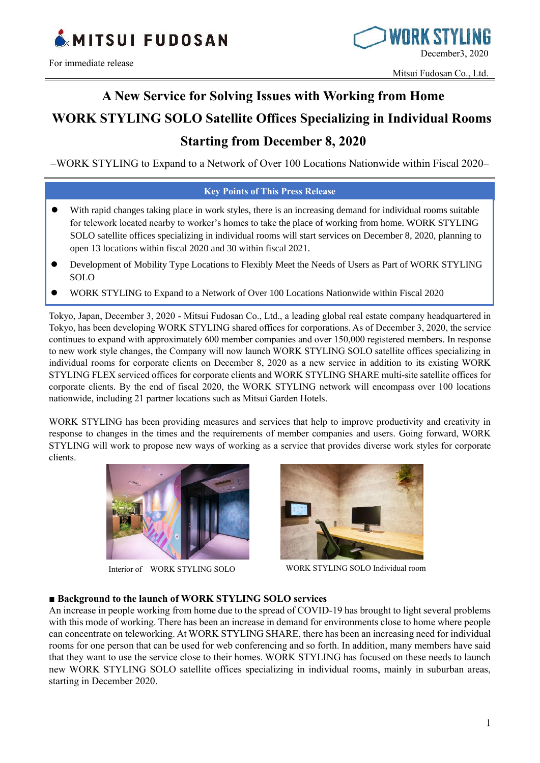



# **A New Service for Solving Issues with Working from Home WORK STYLING SOLO Satellite Offices Specializing in Individual Rooms Starting from December 8, 2020**

–WORK STYLING to Expand to a Network of Over 100 Locations Nationwide within Fiscal 2020–

#### **Key Points of This Press Release**

- ⚫ With rapid changes taking place in work styles, there is an increasing demand for individual rooms suitable for telework located nearby to worker's homes to take the place of working from home. WORK STYLING SOLO satellite offices specializing in individual rooms will start services on December 8, 2020, planning to open 13 locations within fiscal 2020 and 30 within fiscal 2021.
- ⚫ Development of Mobility Type Locations to Flexibly Meet the Needs of Users as Part of WORK STYLING SOLO
- ⚫ WORK STYLING to Expand to a Network of Over 100 Locations Nationwide within Fiscal 2020

Tokyo, Japan, December 3, 2020 - Mitsui Fudosan Co., Ltd., a leading global real estate company headquartered in Tokyo, has been developing WORK STYLING shared offices for corporations. As of December 3, 2020, the service continues to expand with approximately 600 member companies and over 150,000 registered members. In response to new work style changes, the Company will now launch WORK STYLING SOLO satellite offices specializing in individual rooms for corporate clients on December 8, 2020 as a new service in addition to its existing WORK STYLING FLEX serviced offices for corporate clients and WORK STYLING SHARE multi-site satellite offices for corporate clients. By the end of fiscal 2020, the WORK STYLING network will encompass over 100 locations nationwide, including 21 partner locations such as Mitsui Garden Hotels.

WORK STYLING has been providing measures and services that help to improve productivity and creativity in response to changes in the times and the requirements of member companies and users. Going forward, WORK STYLING will work to propose new ways of working as a service that provides diverse work styles for corporate clients.



Interior of WORK STYLING SOLO



WORK STYLING SOLO Individual room

#### **■ Background to the launch of WORK STYLING SOLO services**

An increase in people working from home due to the spread of COVID-19 has brought to light several problems with this mode of working. There has been an increase in demand for environments close to home where people can concentrate on teleworking. At WORK STYLING SHARE, there has been an increasing need for individual rooms for one person that can be used for web conferencing and so forth. In addition, many members have said that they want to use the service close to their homes. WORK STYLING has focused on these needs to launch new WORK STYLING SOLO satellite offices specializing in individual rooms, mainly in suburban areas, starting in December 2020.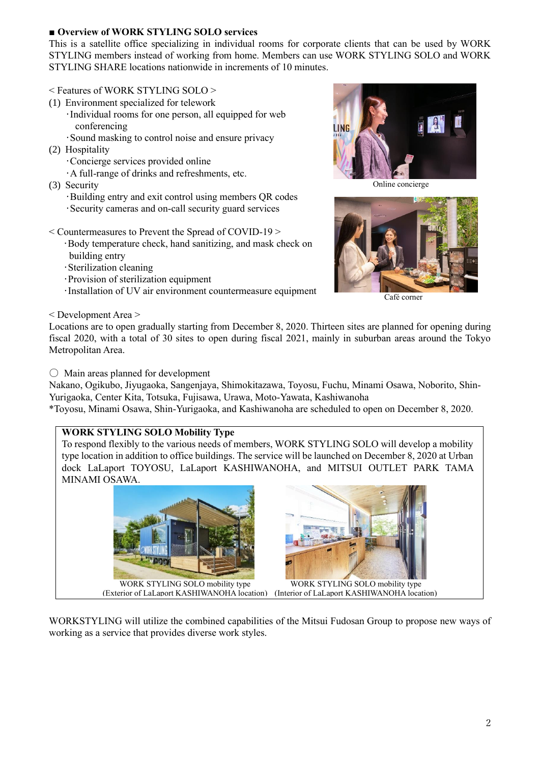# **■ Overview of WORK STYLING SOLO services**

This is a satellite office specializing in individual rooms for corporate clients that can be used by WORK STYLING members instead of working from home. Members can use WORK STYLING SOLO and WORK STYLING SHARE locations nationwide in increments of 10 minutes.

# $\leq$  Features of WORK STYLING SOLO  $>$

- (1) Environment specialized for telework
	- ・Individual rooms for one person, all equipped for web conferencing
	- ・Sound masking to control noise and ensure privacy
- (2) Hospitality
	- ・Concierge services provided online
	- ・A full-range of drinks and refreshments, etc.
- (3) Security
	- ・Building entry and exit control using members QR codes ・Security cameras and on-call security guard services
- < Countermeasures to Prevent the Spread of COVID-19 >
	- ・Body temperature check, hand sanitizing, and mask check on building entry
	- ・Sterilization cleaning
	- ・Provision of sterilization equipment
	- ・Installation of UV air environment countermeasure equipment

Online concierge



Café corner

< Development Area >

Locations are to open gradually starting from December 8, 2020. Thirteen sites are planned for opening during fiscal 2020, with a total of 30 sites to open during fiscal 2021, mainly in suburban areas around the Tokyo Metropolitan Area.

〇 Main areas planned for development

Nakano, Ogikubo, Jiyugaoka, Sangenjaya, Shimokitazawa, Toyosu, Fuchu, Minami Osawa, Noborito, Shin-Yurigaoka, Center Kita, Totsuka, Fujisawa, Urawa, Moto-Yawata, Kashiwanoha

\*Toyosu, Minami Osawa, Shin-Yurigaoka, and Kashiwanoha are scheduled to open on December 8, 2020.

# **WORK STYLING SOLO Mobility Type**

To respond flexibly to the various needs of members, WORK STYLING SOLO will develop a mobility type location in addition to office buildings. The service will be launched on December 8, 2020 at Urban dock LaLaport TOYOSU, LaLaport KASHIWANOHA, and MITSUI OUTLET PARK TAMA MINAMI OSAWA.





WORK STYLING SOLO mobility type (Exterior of LaLanort KASHIWANOHA location) (Interior of LaLaport KASHIWANOHA location)

WORKSTYLING will utilize the combined capabilities of the Mitsui Fudosan Group to propose new ways of working as a service that provides diverse work styles.